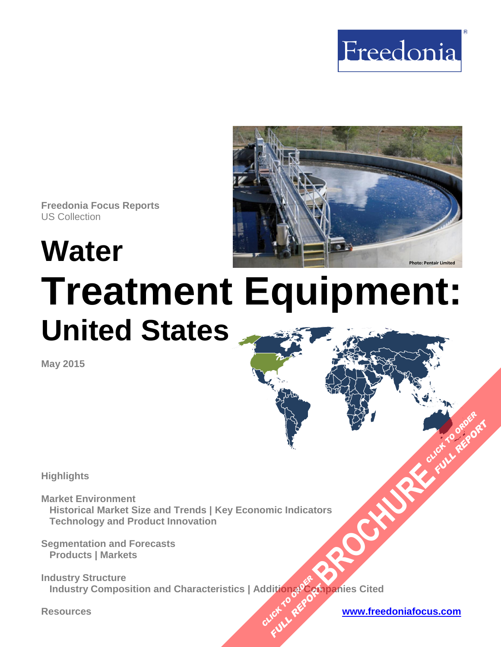



**Freedonia Focus Reports** US Collection

# **Water Treatment Equipment: United States**

**May 2015**

**Highlights** 

**Market Environment Historical Market Size and Trends | Key Economic Indicators Technology and Product Innovation** 

**Segmentation and Forecasts Products | Markets** 

**Industry Structure Industry Composition and Characteristics | Additionរូ** $\mathcal{PC}$ **ប្រាប់anies Cited [BROCHURE](http://www.freedoniagroup.com/FocusDetails.aspx?ReferrerId=FM-FocusBro&ReportID=FF70023) CLICK TO ORDER CLICK TO REPORT FULL REPORT** 

**Resources [www.freedoniafocus.com](http://www.freedoniagroup.com/FocusReports.aspx?ReferrerId=FM-FocusBro)**

**FULL REPORT**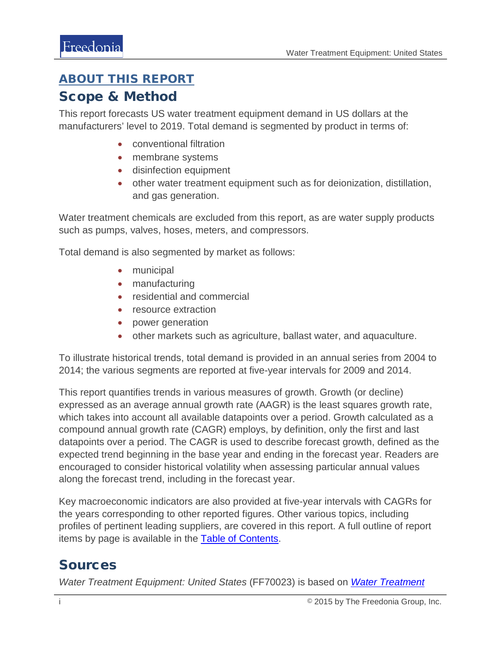#### <span id="page-1-0"></span>ABOUT THIS REPORT

#### Scope & Method

This report forecasts US water treatment equipment demand in US dollars at the manufacturers' level to 2019. Total demand is segmented by product in terms of:

- conventional filtration
- membrane systems
- disinfection equipment
- other water treatment equipment such as for deionization, distillation, and gas generation.

Water treatment chemicals are excluded from this report, as are water supply products such as pumps, valves, hoses, meters, and compressors.

Total demand is also segmented by market as follows:

- municipal
- manufacturing
- residential and commercial
- resource extraction
- power generation
- other markets such as agriculture, ballast water, and aquaculture.

To illustrate historical trends, total demand is provided in an annual series from 2004 to 2014; the various segments are reported at five-year intervals for 2009 and 2014.

This report quantifies trends in various measures of growth. Growth (or decline) expressed as an average annual growth rate (AAGR) is the least squares growth rate, which takes into account all available datapoints over a period. Growth calculated as a compound annual growth rate (CAGR) employs, by definition, only the first and last datapoints over a period. The CAGR is used to describe forecast growth, defined as the expected trend beginning in the base year and ending in the forecast year. Readers are encouraged to consider historical volatility when assessing particular annual values along the forecast trend, including in the forecast year.

Key macroeconomic indicators are also provided at five-year intervals with CAGRs for the years corresponding to other reported figures. Other various topics, including profiles of pertinent leading suppliers, are covered in this report. A full outline of report items by page is available in the **Table of Contents**.

### Sources

*Water Treatment Equipment: United States* (FF70023) is based on *[Water Treatment](http://www.freedoniagroup.com/DocumentDetails.aspx?ReferrerId=FL-FOCUS&studyid=3288)*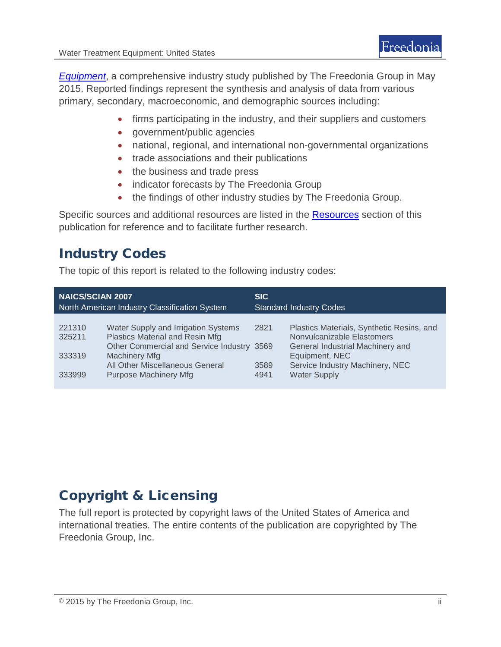*Equipment*, a comprehensive industry study published by The Freedonia Group in May 2015. Reported findings represent the synthesis and analysis of data from various primary, secondary, macroeconomic, and demographic sources including:

- firms participating in the industry, and their suppliers and customers
- government/public agencies
- national, regional, and international non-governmental organizations
- trade associations and their publications
- the business and trade press
- indicator forecasts by The Freedonia Group
- the findings of other industry studies by The Freedonia Group.

Specific sources and additional resources are listed in the **Resources** section of this publication for reference and to facilitate further research.

## Industry Codes

The topic of this report is related to the following industry codes:

| <b>NAICS/SCIAN 2007</b><br><b>North American Industry Classification System</b> |                                            | <b>SIC</b><br><b>Standard Industry Codes</b> |                                           |
|---------------------------------------------------------------------------------|--------------------------------------------|----------------------------------------------|-------------------------------------------|
|                                                                                 |                                            |                                              |                                           |
| 221310                                                                          | Water Supply and Irrigation Systems        | 2821                                         | Plastics Materials, Synthetic Resins, and |
| 325211                                                                          | Plastics Material and Resin Mfg            |                                              | Nonvulcanizable Elastomers                |
|                                                                                 | Other Commercial and Service Industry 3569 |                                              | General Industrial Machinery and          |
| 333319                                                                          | <b>Machinery Mfg</b>                       |                                              | Equipment, NEC                            |
|                                                                                 | All Other Miscellaneous General            | 3589                                         | Service Industry Machinery, NEC           |
| 333999                                                                          | <b>Purpose Machinery Mfg</b>               | 4941                                         | <b>Water Supply</b>                       |
|                                                                                 |                                            |                                              |                                           |

# Copyright & Licensing

The full report is protected by copyright laws of the United States of America and international treaties. The entire contents of the publication are copyrighted by The Freedonia Group, Inc.